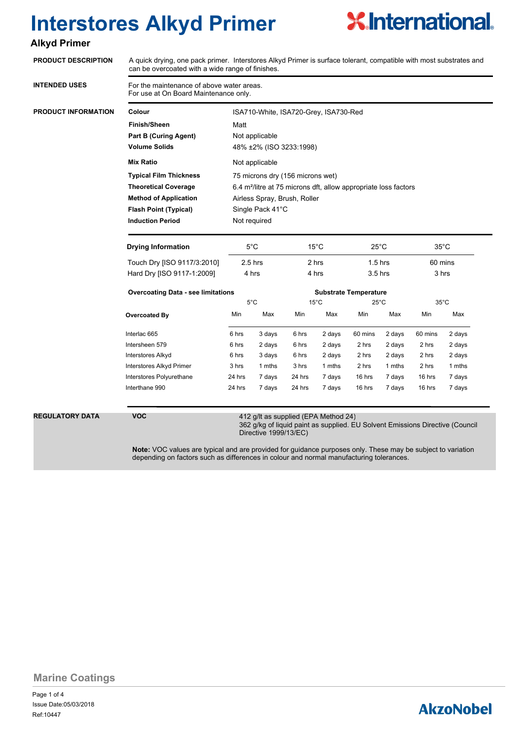

### **Alkyd Primer**

| <b>PRODUCT DESCRIPTION</b> | A quick drying, one pack primer. Interstores Alkyd Primer is surface tolerant, compatible with most substrates and<br>can be overcoated with a wide range of finishes. |                                                                                                                                                |                                       |                |                              |                |                |                |                |  |  |
|----------------------------|------------------------------------------------------------------------------------------------------------------------------------------------------------------------|------------------------------------------------------------------------------------------------------------------------------------------------|---------------------------------------|----------------|------------------------------|----------------|----------------|----------------|----------------|--|--|
| <b>INTENDED USES</b>       | For the maintenance of above water areas.<br>For use at On Board Maintenance only.                                                                                     |                                                                                                                                                |                                       |                |                              |                |                |                |                |  |  |
| PRODUCT INFORMATION        | Colour                                                                                                                                                                 |                                                                                                                                                | ISA710-White, ISA720-Grey, ISA730-Red |                |                              |                |                |                |                |  |  |
|                            | <b>Finish/Sheen</b>                                                                                                                                                    | Matt                                                                                                                                           |                                       |                |                              |                |                |                |                |  |  |
|                            | <b>Part B (Curing Agent)</b>                                                                                                                                           | Not applicable                                                                                                                                 |                                       |                |                              |                |                |                |                |  |  |
|                            | <b>Volume Solids</b>                                                                                                                                                   | 48% ±2% (ISO 3233:1998)<br>Not applicable                                                                                                      |                                       |                |                              |                |                |                |                |  |  |
|                            | <b>Mix Ratio</b>                                                                                                                                                       |                                                                                                                                                |                                       |                |                              |                |                |                |                |  |  |
|                            | <b>Typical Film Thickness</b>                                                                                                                                          | 75 microns dry (156 microns wet)                                                                                                               |                                       |                |                              |                |                |                |                |  |  |
|                            | <b>Theoretical Coverage</b>                                                                                                                                            | 6.4 m <sup>2</sup> /litre at 75 microns dft, allow appropriate loss factors                                                                    |                                       |                |                              |                |                |                |                |  |  |
|                            | <b>Method of Application</b>                                                                                                                                           | Airless Spray, Brush, Roller                                                                                                                   |                                       |                |                              |                |                |                |                |  |  |
|                            | <b>Flash Point (Typical)</b>                                                                                                                                           | Single Pack 41°C                                                                                                                               |                                       |                |                              |                |                |                |                |  |  |
|                            | <b>Induction Period</b>                                                                                                                                                | Not required                                                                                                                                   |                                       |                |                              |                |                |                |                |  |  |
|                            | <b>Drying Information</b>                                                                                                                                              | $5^{\circ}$ C                                                                                                                                  |                                       | $15^{\circ}$ C |                              | $25^{\circ}$ C |                | $35^{\circ}$ C |                |  |  |
|                            | Touch Dry [ISO 9117/3:2010]                                                                                                                                            | $2.5$ hrs                                                                                                                                      |                                       | 2 hrs          |                              | $1.5$ hrs      |                | 60 mins        |                |  |  |
|                            | Hard Dry [ISO 9117-1:2009]                                                                                                                                             | 4 hrs                                                                                                                                          |                                       | 4 hrs          |                              | $3.5$ hrs      |                | 3 hrs          |                |  |  |
|                            | <b>Overcoating Data - see limitations</b>                                                                                                                              |                                                                                                                                                |                                       |                | <b>Substrate Temperature</b> |                |                |                |                |  |  |
|                            |                                                                                                                                                                        |                                                                                                                                                | $5^{\circ}$ C                         |                | $15^{\circ}$ C               |                | $25^{\circ}$ C |                | $35^{\circ}$ C |  |  |
|                            | Overcoated By                                                                                                                                                          | Min                                                                                                                                            | Max                                   | Min            | Max                          | Min            | Max            | Min            | Max            |  |  |
|                            | Interlac 665                                                                                                                                                           | 6 hrs                                                                                                                                          | 3 days                                | 6 hrs          | 2 days                       | 60 mins        | 2 days         | 60 mins        | 2 days         |  |  |
|                            | Intersheen 579                                                                                                                                                         | 6 hrs                                                                                                                                          | 2 days                                | 6 hrs          | 2 days                       | 2 hrs          | 2 days         | 2 hrs          | 2 days         |  |  |
|                            | <b>Interstores Alkyd</b>                                                                                                                                               | 6 hrs                                                                                                                                          | 3 days                                | 6 hrs          | 2 days                       | 2 hrs          | 2 days         | 2 hrs          | 2 days         |  |  |
|                            | Interstores Alkyd Primer                                                                                                                                               | 3 hrs                                                                                                                                          | 1 mths                                | 3 hrs          | 1 mths                       | 2 hrs          | 1 mths         | 2 hrs          | 1 mths         |  |  |
|                            | Interstores Polyurethane                                                                                                                                               | 24 hrs                                                                                                                                         | 7 days                                | 24 hrs         | 7 days                       | 16 hrs         | 7 days         | 16 hrs         | 7 days         |  |  |
|                            | Interthane 990                                                                                                                                                         | 24 hrs                                                                                                                                         | 7 days                                | 24 hrs         | 7 days                       | 16 hrs         | 7 days         | 16 hrs         | 7 days         |  |  |
| <b>REGULATORY DATA</b>     | <b>VOC</b>                                                                                                                                                             | 412 g/lt as supplied (EPA Method 24)<br>362 g/kg of liquid paint as supplied. EU Solvent Emissions Directive (Council<br>Directive 1999/13/EC) |                                       |                |                              |                |                |                |                |  |  |

**Note:** VOC values are typical and are provided for guidance purposes only. These may be subject to variation depending on factors such as differences in colour and normal manufacturing tolerances.

**Marine Coatings**

Page 1 of 4 Ref:10447 Issue Date:05/03/2018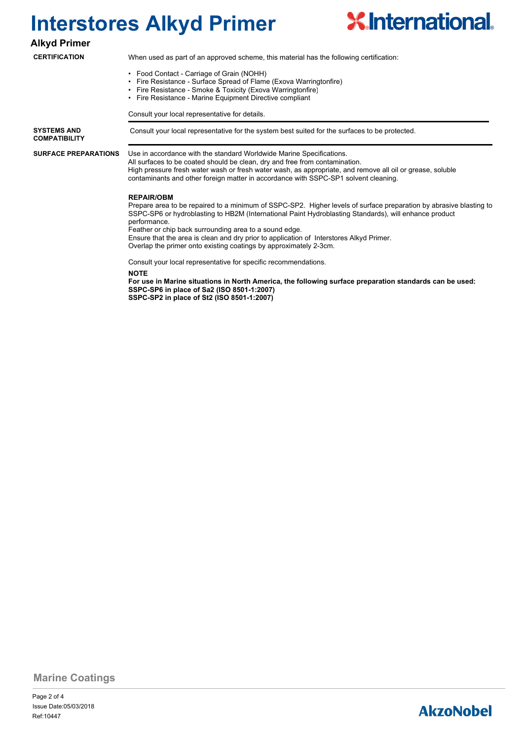

#### **Alkyd Primer**

#### **CERTIFICATION**

When used as part of an approved scheme, this material has the following certification:

- Food Contact Carriage of Grain (NOHH)
- Fire Resistance Surface Spread of Flame (Exova Warringtonfire)
- Fire Resistance Smoke & Toxicity (Exova Warringtonfire)
- Fire Resistance Marine Equipment Directive compliant

Consult your local representative for details.

**COMPATIBILITY**

**SURFACE PREPARATIONS**

**SYSTEMS AND Consult your local representative for the system best suited for the surfaces to be protected.** 

Use in accordance with the standard Worldwide Marine Specifications.

All surfaces to be coated should be clean, dry and free from contamination. High pressure fresh water wash or fresh water wash, as appropriate, and remove all oil or grease, soluble contaminants and other foreign matter in accordance with SSPC-SP1 solvent cleaning.

#### **REPAIR/OBM**

Prepare area to be repaired to a minimum of SSPC-SP2. Higher levels of surface preparation by abrasive blasting to SSPC-SP6 or hydroblasting to HB2M (International Paint Hydroblasting Standards), will enhance product performance.

Feather or chip back surrounding area to a sound edge.

Ensure that the area is clean and dry prior to application of Interstores Alkyd Primer.

Overlap the primer onto existing coatings by approximately 2-3cm.

Consult your local representative for specific recommendations.

**NOTE**

**For use in Marine situations in North America, the following surface preparation standards can be used: SSPC-SP6 in place of Sa2 (ISO 8501-1:2007) SSPC-SP2 in place of St2 (ISO 8501-1:2007)**

**Marine Coatings**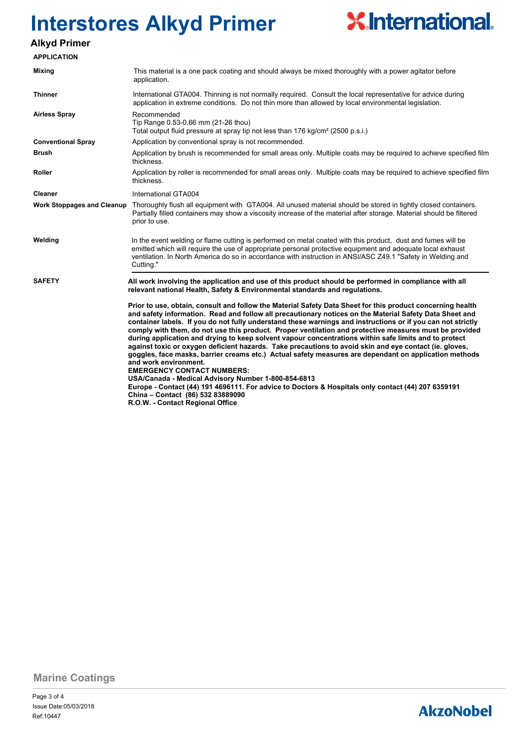

### **Alkyd Primer**

| <b>APPLICATION</b>                |                                                                                                                                                                                                                                                                                                                                                                                                                                                                                                                                                                                                                                                                                                                                                                                                                                                                                                                                                                                                                                                                                                                                                                                                                                                                        |  |  |  |
|-----------------------------------|------------------------------------------------------------------------------------------------------------------------------------------------------------------------------------------------------------------------------------------------------------------------------------------------------------------------------------------------------------------------------------------------------------------------------------------------------------------------------------------------------------------------------------------------------------------------------------------------------------------------------------------------------------------------------------------------------------------------------------------------------------------------------------------------------------------------------------------------------------------------------------------------------------------------------------------------------------------------------------------------------------------------------------------------------------------------------------------------------------------------------------------------------------------------------------------------------------------------------------------------------------------------|--|--|--|
| Mixing                            | This material is a one pack coating and should always be mixed thoroughly with a power agitator before<br>application.                                                                                                                                                                                                                                                                                                                                                                                                                                                                                                                                                                                                                                                                                                                                                                                                                                                                                                                                                                                                                                                                                                                                                 |  |  |  |
| <b>Thinner</b>                    | International GTA004. Thinning is not normally required. Consult the local representative for advice during<br>application in extreme conditions. Do not thin more than allowed by local environmental legislation.                                                                                                                                                                                                                                                                                                                                                                                                                                                                                                                                                                                                                                                                                                                                                                                                                                                                                                                                                                                                                                                    |  |  |  |
| <b>Airless Spray</b>              | Recommended<br>Tip Range 0.53-0.66 mm (21-26 thou)<br>Total output fluid pressure at spray tip not less than 176 kg/cm <sup>2</sup> (2500 p.s.i.)                                                                                                                                                                                                                                                                                                                                                                                                                                                                                                                                                                                                                                                                                                                                                                                                                                                                                                                                                                                                                                                                                                                      |  |  |  |
| <b>Conventional Spray</b>         | Application by conventional spray is not recommended.                                                                                                                                                                                                                                                                                                                                                                                                                                                                                                                                                                                                                                                                                                                                                                                                                                                                                                                                                                                                                                                                                                                                                                                                                  |  |  |  |
| <b>Brush</b>                      | Application by brush is recommended for small areas only. Multiple coats may be required to achieve specified film<br>thickness.                                                                                                                                                                                                                                                                                                                                                                                                                                                                                                                                                                                                                                                                                                                                                                                                                                                                                                                                                                                                                                                                                                                                       |  |  |  |
| Roller                            | Application by roller is recommended for small areas only. Multiple coats may be required to achieve specified film<br>thickness.                                                                                                                                                                                                                                                                                                                                                                                                                                                                                                                                                                                                                                                                                                                                                                                                                                                                                                                                                                                                                                                                                                                                      |  |  |  |
| <b>Cleaner</b>                    | International GTA004                                                                                                                                                                                                                                                                                                                                                                                                                                                                                                                                                                                                                                                                                                                                                                                                                                                                                                                                                                                                                                                                                                                                                                                                                                                   |  |  |  |
| <b>Work Stoppages and Cleanup</b> | Thoroughly flush all equipment with GTA004. All unused material should be stored in tightly closed containers.<br>Partially filled containers may show a viscosity increase of the material after storage. Material should be filtered<br>prior to use.                                                                                                                                                                                                                                                                                                                                                                                                                                                                                                                                                                                                                                                                                                                                                                                                                                                                                                                                                                                                                |  |  |  |
| Welding                           | In the event welding or flame cutting is performed on metal coated with this product, dust and fumes will be<br>emitted which will require the use of appropriate personal protective equipment and adequate local exhaust<br>ventilation. In North America do so in accordance with instruction in ANSI/ASC Z49.1 "Safety in Welding and<br>Cutting."                                                                                                                                                                                                                                                                                                                                                                                                                                                                                                                                                                                                                                                                                                                                                                                                                                                                                                                 |  |  |  |
| <b>SAFETY</b>                     | All work involving the application and use of this product should be performed in compliance with all<br>relevant national Health, Safety & Environmental standards and regulations.<br>Prior to use, obtain, consult and follow the Material Safety Data Sheet for this product concerning health<br>and safety information. Read and follow all precautionary notices on the Material Safety Data Sheet and<br>container labels. If you do not fully understand these warnings and instructions or if you can not strictly<br>comply with them, do not use this product. Proper ventilation and protective measures must be provided<br>during application and drying to keep solvent vapour concentrations within safe limits and to protect<br>against toxic or oxygen deficient hazards. Take precautions to avoid skin and eye contact (ie. gloves,<br>goggles, face masks, barrier creams etc.) Actual safety measures are dependant on application methods<br>and work environment.<br><b>EMERGENCY CONTACT NUMBERS:</b><br>USA/Canada - Medical Advisory Number 1-800-854-6813<br>Europe - Contact (44) 191 4696111. For advice to Doctors & Hospitals only contact (44) 207 6359191<br>China - Contact (86) 532 83889090<br>R.O.W. - Contact Regional Office |  |  |  |

**Marine Coatings**

Page 3 of 4 Ref:10447 Issue Date:05/03/2018